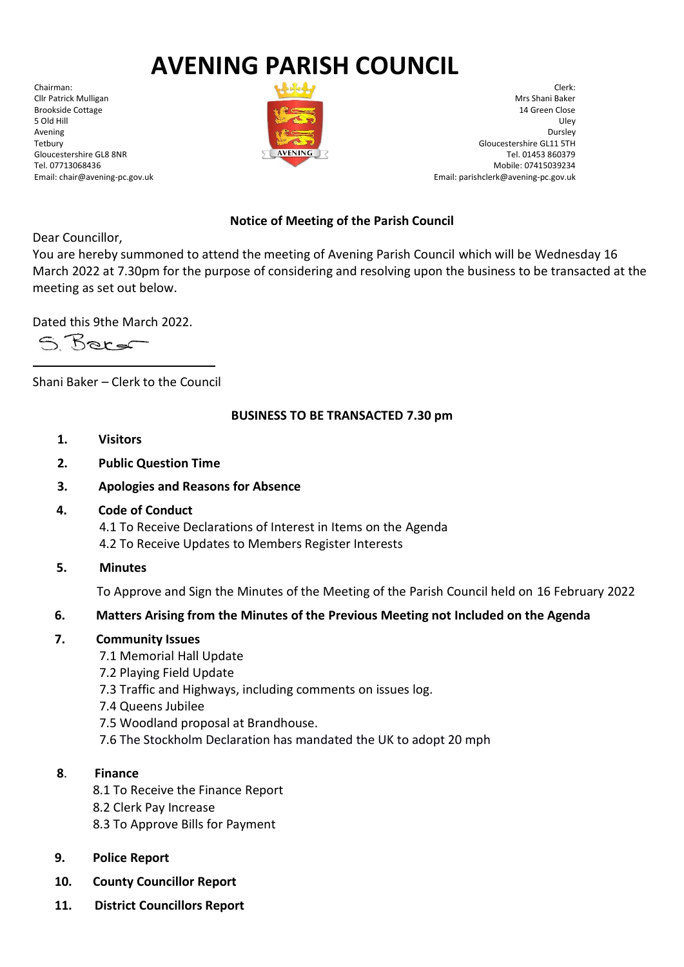# **AVENING PARISH COUNCIL**

Chairman: Cllr Patrick Mulligan Brookside Cottage 5 Old Hill Avening Tetbury Gloucestershire GL8 8NR Tel. 07713068436 Email: chair@avening-pc.gov.uk



Clerk: Mrs Shani Baker 14 Green Close Uley Dursley Gloucestershire GL11 5TH Tel. 01453 860379 Mobile: 07415039234 Email: parishclerk@avening-pc.gov.uk

## **Notice of Meeting of the Parish Council**

Dear Councillor,

You are hereby summoned to attend the meeting of Avening Parish Council which will be Wednesday 16 March 2022 at 7.30pm for the purpose of considering and resolving upon the business to be transacted at the meeting as set out below.

Dated this 9the March 2022.

S Borg

Shani Baker – Clerk to the Council

#### **BUSINESS TO BE TRANSACTED 7.30 pm**

- **1. Visitors**
- **2. Public Question Time**
- **3. Apologies and Reasons for Absence**
- **4. Code of Conduct**

 4.1 To Receive Declarations of Interest in Items on the Agenda 4.2 To Receive Updates to Members Register Interests

**5. Minutes**

To Approve and Sign the Minutes of the Meeting of the Parish Council held on 16 February 2022

#### **6. Matters Arising from the Minutes of the Previous Meeting not Included on the Agenda**

#### **7. Community Issues**

- 7.1 Memorial Hall Update
- 7.2 Playing Field Update
- 7.3 Traffic and Highways, including comments on issues log.
- 7.4 Queens Jubilee
- 7.5 Woodland proposal at Brandhouse.
- 7.6 The Stockholm Declaration has mandated the UK to adopt 20 mph

#### **8**. **Finance**

- 8.1 To Receive the Finance Report
- 8.2 Clerk Pay Increase
- 8.3 To Approve Bills for Payment
- **9. Police Report**
- **10. County Councillor Report**
- **11. District Councillors Report**